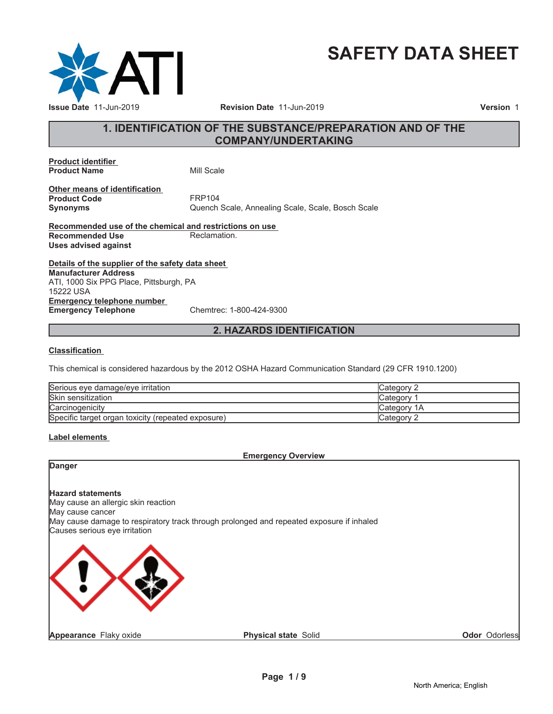

# **SAFETY DATA SHEET**

# **1. IDENTIFICATION OF THE SUBSTANCE/PREPARATION AND OF THE COMPANY/UNDERTAKING**

**Product identifier Product Name** Mill Scale

**Other means of identification Product Code** FRP104

**Synonyms** Quench Scale, Annealing Scale, Scale, Bosch Scale

**Recommended use of the chemical and restrictions on use Recommended Use** Reclamation. **Uses advised against**

**Details of the supplier of the safety data sheet Emergency telephone number Emergency Telephone** Chemtrec: 1-800-424-9300 **Manufacturer Address** ATI, 1000 Six PPG Place, Pittsburgh, PA 15222 USA

# **2. HAZARDS IDENTIFICATION**

#### **Classification**

This chemical is considered hazardous by the 2012 OSHA Hazard Communication Standard (29 CFR 1910.1200)

| Serious eve damage/eve irritation                  | Category 2         |
|----------------------------------------------------|--------------------|
| Skin sensitization                                 | Category           |
| Carcinogenicity                                    | <b>Category 1A</b> |
| Specific target organ toxicity (repeated exposure) | <b>Category 2</b>  |

#### **Label elements**

### **Emergency Overview**

# **Danger**

**Hazard statements** May cause an allergic skin reaction May cause cancer May cause damage to respiratory track through prolonged and repeated exposure if inhaled Causes serious eye irritation



**Odor** Odorless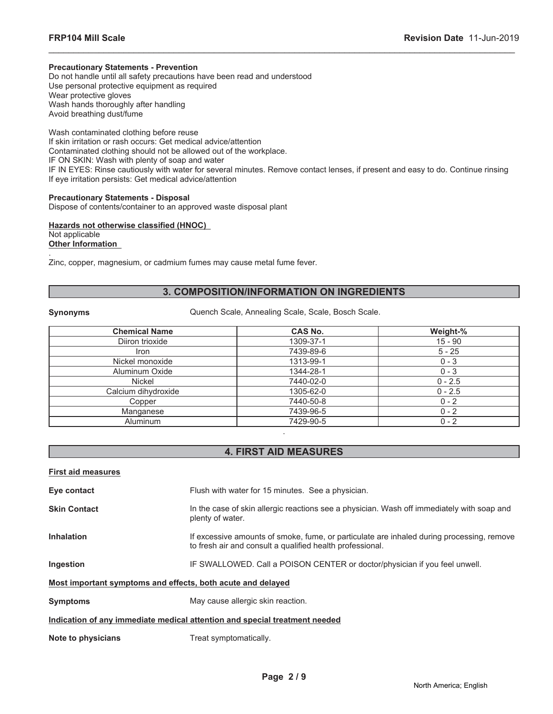#### **Precautionary Statements - Prevention**

Do not handle until all safety precautions have been read and understood Use personal protective equipment as required Wear protective gloves Wash hands thoroughly after handling Avoid breathing dust/fume

Wash contaminated clothing before reuse If skin irritation or rash occurs: Get medical advice/attention Contaminated clothing should not be allowed out of the workplace. IF ON SKIN: Wash with plenty of soap and water IF IN EYES: Rinse cautiously with water for several minutes. Remove contact lenses, if present and easy to do. Continue rinsing If eye irritation persists: Get medical advice/attention

\_\_\_\_\_\_\_\_\_\_\_\_\_\_\_\_\_\_\_\_\_\_\_\_\_\_\_\_\_\_\_\_\_\_\_\_\_\_\_\_\_\_\_\_\_\_\_\_\_\_\_\_\_\_\_\_\_\_\_\_\_\_\_\_\_\_\_\_\_\_\_\_\_\_\_\_\_\_\_\_\_\_\_\_\_\_\_\_\_\_\_\_\_

# **Precautionary Statements - Disposal**

Dispose of contents/container to an approved waste disposal plant

**Hazards not otherwise classified (HNOC)** Not applicable **Other Information**

. Zinc, copper, magnesium, or cadmium fumes may cause metal fume fever.

# **3. COMPOSITION/INFORMATION ON INGREDIENTS**

**Synonyms** Quench Scale, Annealing Scale, Scale, Bosch Scale.

| <b>Chemical Name</b> | <b>CAS No.</b> | Weight-%  |
|----------------------|----------------|-----------|
| Diiron trioxide      | 1309-37-1      | $15 - 90$ |
| <b>Iron</b>          | 7439-89-6      | $5 - 25$  |
| Nickel monoxide      | 1313-99-1      | $0 - 3$   |
| Aluminum Oxide       | 1344-28-1      | $0 - 3$   |
| Nickel               | 7440-02-0      | $0 - 2.5$ |
| Calcium dihydroxide  | 1305-62-0      | $0 - 2.5$ |
| Copper               | 7440-50-8      | $0 - 2$   |
| Manganese            | 7439-96-5      | $0 - 2$   |
| Aluminum             | 7429-90-5      | $0 - 2$   |

# **4. FIRST AID MEASURES**

.

| <b>First aid measures</b>                                   |                                                                                                                                                        |
|-------------------------------------------------------------|--------------------------------------------------------------------------------------------------------------------------------------------------------|
| Eye contact                                                 | Flush with water for 15 minutes. See a physician.                                                                                                      |
| <b>Skin Contact</b>                                         | In the case of skin allergic reactions see a physician. Wash off immediately with soap and<br>plenty of water.                                         |
| <b>Inhalation</b>                                           | If excessive amounts of smoke, fume, or particulate are inhaled during processing, remove<br>to fresh air and consult a qualified health professional. |
| Ingestion                                                   | IF SWALLOWED. Call a POISON CENTER or doctor/physician if you feel unwell.                                                                             |
| Most important symptoms and effects, both acute and delayed |                                                                                                                                                        |
| <b>Symptoms</b>                                             | May cause allergic skin reaction.                                                                                                                      |
|                                                             | Indication of any immediate medical attention and special treatment needed                                                                             |
| Note to physicians                                          | Treat symptomatically.                                                                                                                                 |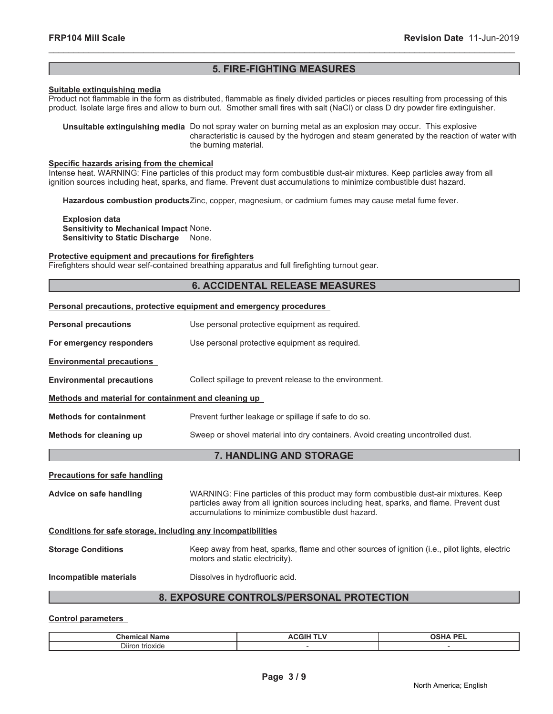# **5. FIRE-FIGHTING MEASURES**

\_\_\_\_\_\_\_\_\_\_\_\_\_\_\_\_\_\_\_\_\_\_\_\_\_\_\_\_\_\_\_\_\_\_\_\_\_\_\_\_\_\_\_\_\_\_\_\_\_\_\_\_\_\_\_\_\_\_\_\_\_\_\_\_\_\_\_\_\_\_\_\_\_\_\_\_\_\_\_\_\_\_\_\_\_\_\_\_\_\_\_\_\_

#### **Suitable extinguishing media**

Product not flammable in the form as distributed, flammable as finely divided particles or pieces resulting from processing of this product. Isolate large fires and allow to burn out. Smother small fires with salt (NaCl) or class D dry powder fire extinguisher.

**Unsuitable extinguishing media** Do not spray water on burning metal as an explosion may occur. This explosive characteristic is caused by the hydrogen and steam generated by the reaction of water with the burning material.

#### **Specific hazards arising from the chemical**

Intense heat. WARNING: Fine particles of this product may form combustible dust-air mixtures. Keep particles away from all ignition sources including heat, sparks, and flame. Prevent dust accumulations to minimize combustible dust hazard.

**Hazardous combustion products**Zinc, copper, magnesium, or cadmium fumes may cause metal fume fever.

**Explosion data Sensitivity to Mechanical Impact** None. **Sensitivity to Static Discharge** None.

#### **Protective equipment and precautions for firefighters**

Firefighters should wear self-contained breathing apparatus and full firefighting turnout gear.

#### **6. ACCIDENTAL RELEASE MEASURES**

| Personal precautions, protective equipment and emergency procedures |                                                                                                                                                                                                                                        |  |  |
|---------------------------------------------------------------------|----------------------------------------------------------------------------------------------------------------------------------------------------------------------------------------------------------------------------------------|--|--|
| <b>Personal precautions</b>                                         | Use personal protective equipment as required.                                                                                                                                                                                         |  |  |
| For emergency responders                                            | Use personal protective equipment as required.                                                                                                                                                                                         |  |  |
| <b>Environmental precautions</b>                                    |                                                                                                                                                                                                                                        |  |  |
| <b>Environmental precautions</b>                                    | Collect spillage to prevent release to the environment.                                                                                                                                                                                |  |  |
| Methods and material for containment and cleaning up                |                                                                                                                                                                                                                                        |  |  |
| <b>Methods for containment</b>                                      | Prevent further leakage or spillage if safe to do so.                                                                                                                                                                                  |  |  |
| Methods for cleaning up                                             | Sweep or shovel material into dry containers. Avoid creating uncontrolled dust.                                                                                                                                                        |  |  |
| 7. HANDLING AND STORAGE                                             |                                                                                                                                                                                                                                        |  |  |
| <b>Precautions for safe handling</b>                                |                                                                                                                                                                                                                                        |  |  |
| Advice on safe handling                                             | WARNING: Fine particles of this product may form combustible dust-air mixtures. Keep<br>particles away from all ignition sources including heat, sparks, and flame. Prevent dust<br>accumulations to minimize combustible dust hazard. |  |  |
| Conditions for safe storage, including any incompatibilities        |                                                                                                                                                                                                                                        |  |  |
| <b>Storage Conditions</b>                                           | Keep away from heat, sparks, flame and other sources of ignition (i.e., pilot lights, electric<br>motors and static electricity).                                                                                                      |  |  |
| Incompatible materials                                              | Dissolves in hydrofluoric acid.                                                                                                                                                                                                        |  |  |
| 8. EXPOSURE CONTROLS/PERSONAL PROTECTION                            |                                                                                                                                                                                                                                        |  |  |

#### **Control parameters**

| ∼.<br>ורי<br>чшсаг<br>שווי                    | . DE'<br>-- |
|-----------------------------------------------|-------------|
| $- \cdot \cdot$<br><b>D</b> liron<br>trioxide |             |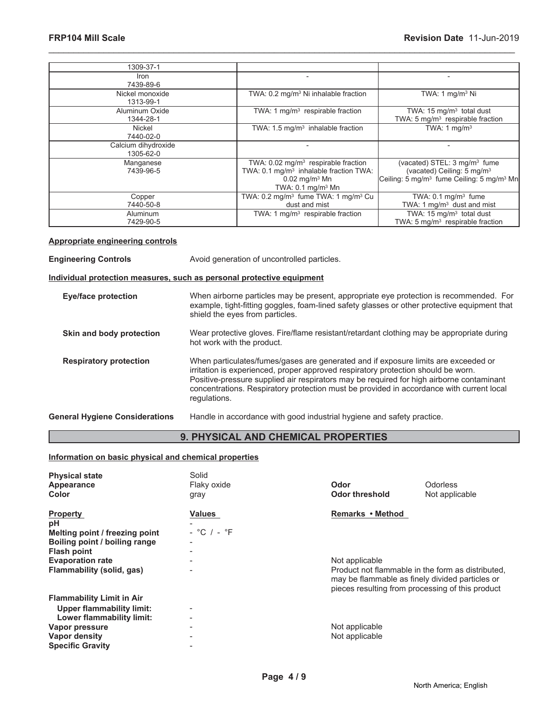| 1309-37-1                        |                                                                                                                                                                     |                                                                                                                                                         |
|----------------------------------|---------------------------------------------------------------------------------------------------------------------------------------------------------------------|---------------------------------------------------------------------------------------------------------------------------------------------------------|
| <b>Iron</b><br>7439-89-6         |                                                                                                                                                                     |                                                                                                                                                         |
| Nickel monoxide<br>1313-99-1     | TWA: 0.2 mg/m <sup>3</sup> Ni inhalable fraction                                                                                                                    | TWA: 1 $mg/m3$ Ni                                                                                                                                       |
| Aluminum Oxide<br>1344-28-1      | TWA: 1 $mg/m3$ respirable fraction                                                                                                                                  | TWA: $15 \text{ mg/m}^3$ total dust<br>TWA: 5 mg/m <sup>3</sup> respirable fraction                                                                     |
| Nickel<br>7440-02-0              | TWA: $1.5 \text{ mg/m}^3$ inhalable fraction                                                                                                                        | TWA: 1 $mq/m3$                                                                                                                                          |
| Calcium dihydroxide<br>1305-62-0 |                                                                                                                                                                     |                                                                                                                                                         |
| Manganese<br>7439-96-5           | TWA: $0.02 \text{ mg/m}^3$ respirable fraction<br>TWA: 0.1 mg/m <sup>3</sup> inhalable fraction TWA:<br>$0.02$ mg/m <sup>3</sup> Mn<br>TWA: $0.1 \text{ mg/m}^3$ Mn | (vacated) STEL: 3 mg/m <sup>3</sup> fume<br>(vacated) Ceiling: 5 mg/m <sup>3</sup><br>Ceiling: 5 mg/m <sup>3</sup> fume Ceiling: 5 mg/m <sup>3</sup> Mn |
| Copper<br>7440-50-8              | TWA: 0.2 mg/m <sup>3</sup> fume TWA: 1 mg/m <sup>3</sup> Cu<br>dust and mist                                                                                        | TWA: $0.1 \text{ mg/m}^3$ fume<br>TWA: 1 mg/m <sup>3</sup> dust and mist                                                                                |
| Aluminum<br>7429-90-5            | TWA: 1 $mg/m3$ respirable fraction                                                                                                                                  | TWA: $15 \text{ mg/m}^3$ total dust<br>TWA: 5 mg/m <sup>3</sup> respirable fraction                                                                     |

#### **Appropriate engineering controls**

**Engineering Controls Avoid generation of uncontrolled particles.** 

# **Individual protection measures, such as personal protective equipment**

| <b>Eye/face protection</b>            | When airborne particles may be present, appropriate eye protection is recommended. For<br>example, tight-fitting goggles, foam-lined safety glasses or other protective equipment that<br>shield the eyes from particles.                                                                                                                                                       |
|---------------------------------------|---------------------------------------------------------------------------------------------------------------------------------------------------------------------------------------------------------------------------------------------------------------------------------------------------------------------------------------------------------------------------------|
| Skin and body protection              | Wear protective gloves. Fire/flame resistant/retardant clothing may be appropriate during<br>hot work with the product.                                                                                                                                                                                                                                                         |
| <b>Respiratory protection</b>         | When particulates/fumes/gases are generated and if exposure limits are exceeded or<br>irritation is experienced, proper approved respiratory protection should be worn.<br>Positive-pressure supplied air respirators may be required for high airborne contaminant<br>concentrations. Respiratory protection must be provided in accordance with current local<br>regulations. |
| <b>General Hygiene Considerations</b> | Handle in accordance with good industrial hygiene and safety practice.                                                                                                                                                                                                                                                                                                          |

# **9. PHYSICAL AND CHEMICAL PROPERTIES**

#### **Information on basic physical and chemical properties**

| <b>Physical state</b><br>Appearance<br>Color | Solid<br>Flaky oxide<br>gray | Odor<br><b>Odor threshold</b>                                                                                                                            | <b>Odorless</b><br>Not applicable |
|----------------------------------------------|------------------------------|----------------------------------------------------------------------------------------------------------------------------------------------------------|-----------------------------------|
| <b>Property</b>                              | <b>Values</b>                | Remarks • Method                                                                                                                                         |                                   |
| рH                                           |                              |                                                                                                                                                          |                                   |
| Melting point / freezing point               | $-$ °C $/$ - °F              |                                                                                                                                                          |                                   |
| Boiling point / boiling range                | -                            |                                                                                                                                                          |                                   |
| <b>Flash point</b>                           |                              |                                                                                                                                                          |                                   |
| <b>Evaporation rate</b>                      |                              | Not applicable                                                                                                                                           |                                   |
| Flammability (solid, gas)                    |                              | Product not flammable in the form as distributed.<br>may be flammable as finely divided particles or<br>pieces resulting from processing of this product |                                   |
| <b>Flammability Limit in Air</b>             |                              |                                                                                                                                                          |                                   |
| <b>Upper flammability limit:</b>             | $\overline{\phantom{0}}$     |                                                                                                                                                          |                                   |
| Lower flammability limit:                    |                              |                                                                                                                                                          |                                   |
| Vapor pressure                               | -                            | Not applicable                                                                                                                                           |                                   |
| Vapor density                                |                              | Not applicable                                                                                                                                           |                                   |
| <b>Specific Gravity</b>                      |                              |                                                                                                                                                          |                                   |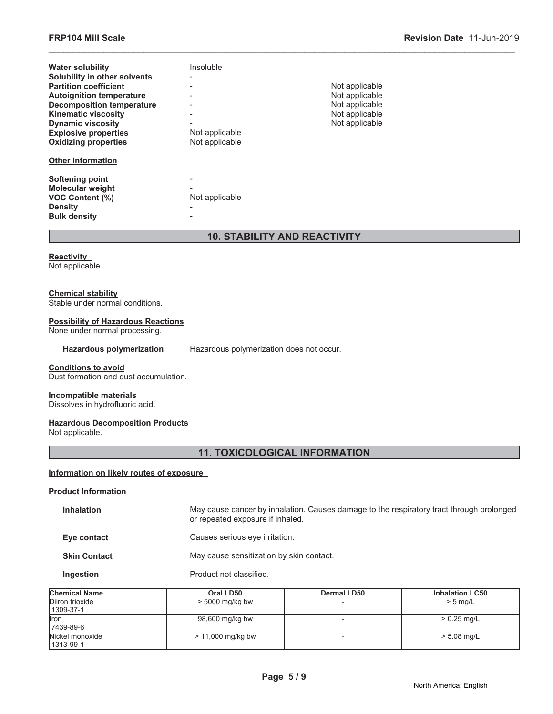| <b>Water solubility</b>          | Insoluble      |                |
|----------------------------------|----------------|----------------|
| Solubility in other solvents     |                |                |
| <b>Partition coefficient</b>     |                | Not applicable |
| <b>Autoignition temperature</b>  |                | Not applicable |
| <b>Decomposition temperature</b> |                | Not applicable |
| <b>Kinematic viscosity</b>       |                | Not applicable |
| <b>Dynamic viscosity</b>         |                | Not applicable |
| <b>Explosive properties</b>      | Not applicable |                |
| <b>Oxidizing properties</b>      | Not applicable |                |
| <b>Other Information</b>         |                |                |
| Softening point                  |                |                |
| <b>Molecular weight</b>          |                |                |
| <b>VOC Content (%)</b>           | Not applicable |                |
| <b>Density</b>                   |                |                |
| <b>Bulk density</b>              |                |                |

# **10. STABILITY AND REACTIVITY**

\_\_\_\_\_\_\_\_\_\_\_\_\_\_\_\_\_\_\_\_\_\_\_\_\_\_\_\_\_\_\_\_\_\_\_\_\_\_\_\_\_\_\_\_\_\_\_\_\_\_\_\_\_\_\_\_\_\_\_\_\_\_\_\_\_\_\_\_\_\_\_\_\_\_\_\_\_\_\_\_\_\_\_\_\_\_\_\_\_\_\_\_\_

**Reactivity** Not applicable

#### **Chemical stability**

Stable under normal conditions.

# **Possibility of Hazardous Reactions**

None under normal processing.

Hazardous polymerization Hazardous polymerization does not occur.

#### **Conditions to avoid**

Dust formation and dust accumulation.

#### **Incompatible materials**

Dissolves in hydrofluoric acid.

#### **Hazardous Decomposition Products**

Not applicable.

# **11. TOXICOLOGICAL INFORMATION**

#### **Information on likely routes of exposure**

# **Product Information**

| <b>Inhalation</b>   | May cause cancer by inhalation. Causes damage to the respiratory tract through prolonged<br>or repeated exposure if inhaled. |
|---------------------|------------------------------------------------------------------------------------------------------------------------------|
| Eye contact         | Causes serious eye irritation.                                                                                               |
| <b>Skin Contact</b> | May cause sensitization by skin contact.                                                                                     |
| Ingestion           | Product not classified.                                                                                                      |

| <b>Chemical Name</b>           | Oral LD50           | <b>Dermal LD50</b> | <b>Inhalation LC50</b> |
|--------------------------------|---------------------|--------------------|------------------------|
| Diiron trioxide                | $> 5000$ mg/kg bw   |                    | $> 5$ mg/L             |
| 1309-37-1                      |                     |                    |                        |
| <b>I</b> ron                   | 98,600 mg/kg bw     |                    | $> 0.25$ mg/L          |
| 7439-89-6                      |                     |                    |                        |
| Nickel monoxide<br>  1313-99-1 | $> 11,000$ mg/kg bw |                    | $> 5.08$ mg/L          |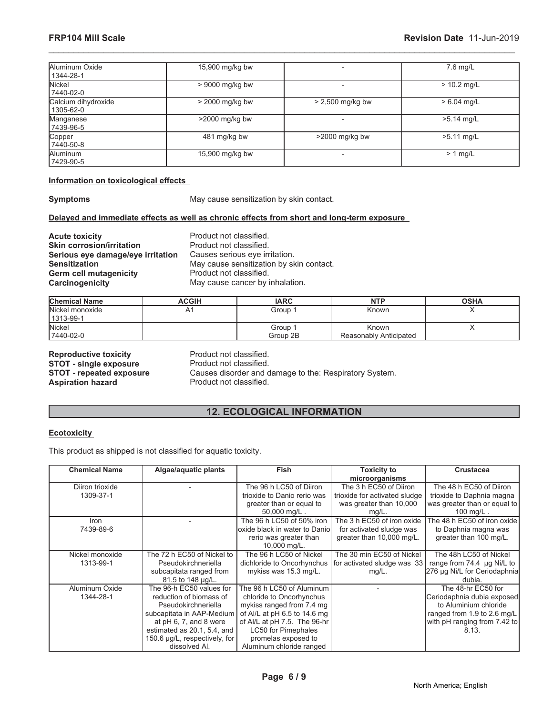| Aluminum Oxide<br>1344-28-1      | 15,900 mg/kg bw   |                          | 7.6 mg/L      |
|----------------------------------|-------------------|--------------------------|---------------|
| Nickel<br>7440-02-0              | $> 9000$ mg/kg bw | $\overline{\phantom{a}}$ | $> 10.2$ mg/L |
| Calcium dihydroxide<br>1305-62-0 | > 2000 mg/kg bw   | > 2,500 mg/kg bw         | $> 6.04$ mg/L |
| Manganese<br>7439-96-5           | $>2000$ mg/kg bw  |                          | $>5.14$ mg/L  |
| Copper<br>7440-50-8              | 481 mg/kg bw      | >2000 mg/kg bw           | $>5.11$ mg/L  |
| Aluminum<br>7429-90-5            | 15,900 mg/kg bw   | $\,$                     | $> 1$ mg/L    |

#### **Information on toxicological effects**

**Symptoms** May cause sensitization by skin contact.

# **Delayed and immediate effects as well as chronic effects from short and long-term exposure**

**Acute toxicity Product not classified. Skin corrosion/irritation** Product not classified. **Serious eye damage/eye irritation** Causes serious eye irritation. **Germ cell mutagenicity<br>Carcinogenicity** 

**Sensitization**<br> **Sensitization Contact Contact Cerm cell mutagenicity**<br> **Contact Contact Product not classified.** May cause cancer by inhalation.

| <b>Chemical Name</b> | ACGIH | <b>IARC</b> | <b>NTP</b>             | <b>OSHA</b> |
|----------------------|-------|-------------|------------------------|-------------|
| Nickel monoxide      | A1    | Group 1     | Known                  |             |
| 1313-99-1            |       |             |                        |             |
| Nickel               |       | Group 1     | Known                  |             |
| 7440-02-0            |       | Group 2B    | Reasonably Anticipated |             |

**Reproductive toxicity** Product not classified. **STOT - single exposure** Product not classified. Aspiration hazard **Product not classified.** 

**STOT - repeated exposure** Causes disorder and damage to the: Respiratory System.

# **12. ECOLOGICAL INFORMATION**

#### **Ecotoxicity**

This product as shipped is not classified for aquatic toxicity.

| <b>Chemical Name</b> | Algae/aquatic plants          | <b>Fish</b>                   | <b>Toxicity to</b>            | <b>Crustacea</b>             |
|----------------------|-------------------------------|-------------------------------|-------------------------------|------------------------------|
|                      |                               |                               | microorganisms                |                              |
| Diiron trioxide      |                               | The 96 h LC50 of Diiron       | The 3 h EC50 of Diiron        | The 48 h EC50 of Diiron      |
| 1309-37-1            |                               | trioxide to Danio rerio was   | trioxide for activated sludge | trioxide to Daphnia magna    |
|                      |                               | greater than or equal to      | was greater than 10,000       | was greater than or equal to |
|                      |                               | 50,000 mg/L.                  | $mg/L$ .                      | $100 \text{ mg/L}$ .         |
| <i>Iron</i>          |                               | The 96 h LC50 of 50% iron     | The 3 h EC50 of iron oxide    | The 48 h EC50 of iron oxide  |
| 7439-89-6            |                               | oxide black in water to Danio | for activated sludge was      | to Daphnia magna was         |
|                      |                               | rerio was greater than        | greater than 10,000 mg/L.     | greater than 100 mg/L.       |
|                      |                               | 10,000 mg/L.                  |                               |                              |
| Nickel monoxide      | The 72 h EC50 of Nickel to    | The 96 h LC50 of Nickel       | The 30 min EC50 of Nickel     | The 48h LC50 of Nickel       |
| 1313-99-1            | Pseudokirchneriella           | dichloride to Oncorhynchus    | for activated sludge was 33   | range from 74.4 µg Ni/L to   |
|                      | subcapitata ranged from       | mykiss was 15.3 mg/L.         | $mg/L$ .                      | 276 µg Ni/L for Ceriodaphnia |
|                      | 81.5 to 148 µg/L.             |                               |                               | dubia.                       |
| Aluminum Oxide       | The 96-h EC50 values for      | The 96 h LC50 of Aluminum     |                               | The 48-hr EC50 for           |
| 1344-28-1            | reduction of biomass of       | chloride to Oncorhynchus      |                               | Ceriodaphnia dubia exposed   |
|                      | Pseudokirchneriella           | mykiss ranged from 7.4 mg     |                               | to Aluminium chloride        |
|                      | subcapitata in AAP-Medium     | of Al/L at pH 6.5 to 14.6 mg  |                               | ranged from 1.9 to 2.6 mg/L  |
|                      | at pH 6, 7, and 8 were        | of Al/L at pH 7.5. The 96-hr  |                               | with pH ranging from 7.42 to |
|                      | estimated as 20.1, 5.4, and   | <b>LC50 for Pimephales</b>    |                               | 8.13.                        |
|                      | 150.6 µg/L, respectively, for | promelas exposed to           |                               |                              |
|                      | dissolved Al.                 | Aluminum chloride ranged      |                               |                              |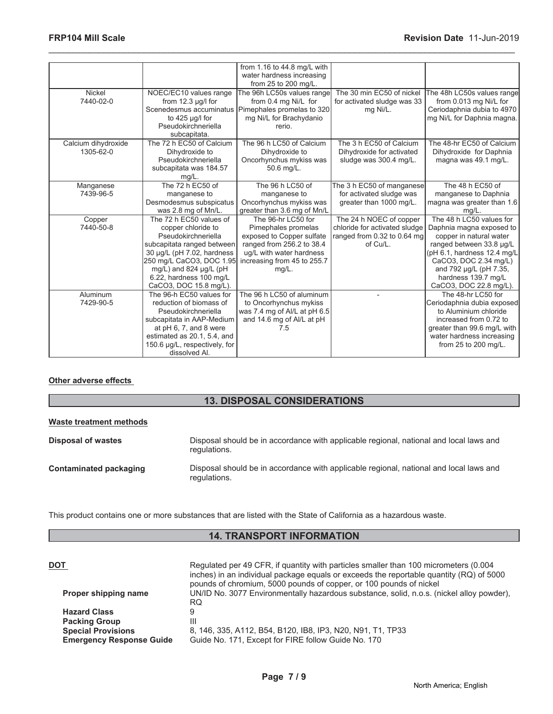|                     |                                                | from 1.16 to 44.8 mg/L with<br>water hardness increasing |                               |                             |
|---------------------|------------------------------------------------|----------------------------------------------------------|-------------------------------|-----------------------------|
|                     |                                                | from 25 to 200 mg/L.                                     |                               |                             |
| Nickel              | NOEC/EC10 values range                         | The 96h LC50s values range                               | The 30 min EC50 of nickel     | The 48h LC50s values range  |
| 7440-02-0           | from $12.3 \mu q/l$ for                        | from 0.4 mg Ni/L for                                     | for activated sludge was 33   | from 0.013 mg Ni/L for      |
|                     |                                                | Scenedesmus accuminatus   Pimephales promelas to 320     | mg Ni/L.                      | Ceriodaphnia dubia to 4970  |
|                     | to $425 \mu g/l$ for                           | mg Ni/L for Brachydanio                                  |                               | mg Ni/L for Daphnia magna.  |
|                     | Pseudokirchneriella                            | rerio.                                                   |                               |                             |
|                     | subcapitata.                                   |                                                          |                               |                             |
| Calcium dihydroxide | The 72 h EC50 of Calcium                       | The 96 h LC50 of Calcium                                 | The 3 h EC50 of Calcium       | The 48-hr EC50 of Calcium   |
| 1305-62-0           | Dihydroxide to                                 | Dihydroxide to                                           | Dihydroxide for activated     | Dihydroxide for Daphnia     |
|                     | Pseudokirchneriella                            | Oncorhynchus mykiss was                                  | sludge was 300.4 mg/L.        | magna was 49.1 mg/L.        |
|                     | subcapitata was 184.57<br>mg/L.                | 50.6 mg/L.                                               |                               |                             |
| Manganese           | The 72 h EC50 of                               | The 96 h LC50 of                                         | The 3 h EC50 of manganese     | The 48 h EC50 of            |
| 7439-96-5           | manganese to                                   | manganese to                                             | for activated sludge was      | manganese to Daphnia        |
|                     | Desmodesmus subspicatus                        | Oncorhynchus mykiss was                                  | greater than 1000 mg/L.       | magna was greater than 1.6  |
|                     | was 2.8 mg of Mn/L.                            | greater than 3.6 mg of Mn/L                              |                               | mq/L                        |
| Copper              | The 72 h EC50 values of                        | The 96-hr LC50 for                                       | The 24 h NOEC of copper       | The 48 h LC50 values for    |
| 7440-50-8           | copper chloride to                             | Pimephales promelas                                      | chloride for activated sludge | Daphnia magna exposed to    |
|                     | Pseudokirchneriella                            | exposed to Copper sulfate                                | ranged from 0.32 to 0.64 mg   | copper in natural water     |
|                     | subcapitata ranged between                     | ranged from 256.2 to 38.4                                | of Cu/L.                      | ranged between 33.8 µg/L    |
|                     | 30 µg/L (pH 7.02, hardness                     | ug/L with water hardness                                 |                               | (pH 6.1, hardness 12.4 mg/L |
|                     | 250 mg/L CaCO3, DOC 1.95                       | increasing from 45 to 255.7                              |                               | CaCO3, DOC 2.34 mg/L)       |
|                     | mg/L) and 824 µg/L (pH                         | $mg/L$ .                                                 |                               | and 792 µg/L (pH 7.35,      |
|                     | 6.22, hardness 100 mg/L                        |                                                          |                               | hardness 139.7 mg/L         |
|                     | CaCO3, DOC 15.8 mg/L).                         |                                                          |                               | CaCO3, DOC 22.8 mg/L).      |
| Aluminum            | The 96-h EC50 values for                       | The 96 h LC50 of aluminum                                |                               | The 48-hr LC50 for          |
| 7429-90-5           | reduction of biomass of                        | to Oncorhynchus mykiss                                   |                               | Ceriodaphnia dubia exposed  |
|                     | Pseudokirchneriella                            | was 7.4 mg of Al/L at pH 6.5                             |                               | to Aluminium chloride       |
|                     | subcapitata in AAP-Medium                      | and 14.6 mg of Al/L at pH                                |                               | increased from 0.72 to      |
|                     | at pH 6, 7, and 8 were                         | 7.5                                                      |                               | greater than 99.6 mg/L with |
|                     | estimated as 20.1, 5.4, and                    |                                                          |                               | water hardness increasing   |
|                     | 150.6 µg/L, respectively, for<br>dissolved AI. |                                                          |                               | from 25 to 200 mg/L.        |
|                     |                                                |                                                          |                               |                             |

#### **Other adverse effects**

# **13. DISPOSAL CONSIDERATIONS**

| Waste treatment methods   |                                                                                                        |
|---------------------------|--------------------------------------------------------------------------------------------------------|
| <b>Disposal of wastes</b> | Disposal should be in accordance with applicable regional, national and local laws and<br>regulations. |
| Contaminated packaging    | Disposal should be in accordance with applicable regional, national and local laws and<br>regulations. |

This product contains one or more substances that are listed with the State of California as a hazardous waste.

# **14. TRANSPORT INFORMATION**

| DOT                             | Regulated per 49 CFR, if quantity with particles smaller than 100 micrometers (0.004<br>inches) in an individual package equals or exceeds the reportable quantity (RQ) of 5000<br>pounds of chromium, 5000 pounds of copper, or 100 pounds of nickel |
|---------------------------------|-------------------------------------------------------------------------------------------------------------------------------------------------------------------------------------------------------------------------------------------------------|
| Proper shipping name            | UN/ID No. 3077 Environmentally hazardous substance, solid, n.o.s. (nickel alloy powder),<br>RQ                                                                                                                                                        |
| <b>Hazard Class</b>             |                                                                                                                                                                                                                                                       |
| <b>Packing Group</b>            | Ш                                                                                                                                                                                                                                                     |
| <b>Special Provisions</b>       | 8, 146, 335, A112, B54, B120, IB8, IP3, N20, N91, T1, TP33                                                                                                                                                                                            |
| <b>Emergency Response Guide</b> | Guide No. 171, Except for FIRE follow Guide No. 170                                                                                                                                                                                                   |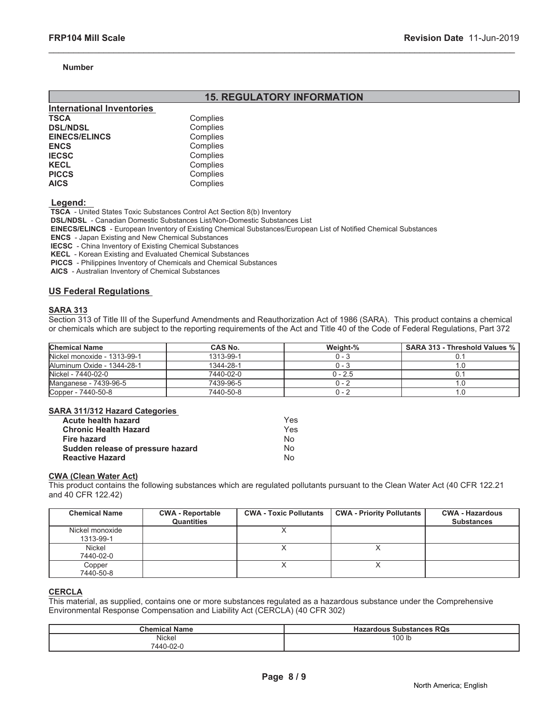#### **Number**

# **15. REGULATORY INFORMATION**

\_\_\_\_\_\_\_\_\_\_\_\_\_\_\_\_\_\_\_\_\_\_\_\_\_\_\_\_\_\_\_\_\_\_\_\_\_\_\_\_\_\_\_\_\_\_\_\_\_\_\_\_\_\_\_\_\_\_\_\_\_\_\_\_\_\_\_\_\_\_\_\_\_\_\_\_\_\_\_\_\_\_\_\_\_\_\_\_\_\_\_\_\_

| <b>International Inventories</b> |          |
|----------------------------------|----------|
| TSCA                             | Complies |
| <b>DSL/NDSL</b>                  | Complies |
| <b>EINECS/ELINCS</b>             | Complies |
| <b>ENCS</b>                      | Complies |
| <b>IECSC</b>                     | Complies |
| <b>KECL</b>                      | Complies |
| <b>PICCS</b>                     | Complies |
| <b>AICS</b>                      | Complies |

 **Legend:** 

 **TSCA** - United States Toxic Substances Control Act Section 8(b) Inventory

 **DSL/NDSL** - Canadian Domestic Substances List/Non-Domestic Substances List

 **EINECS/ELINCS** - European Inventory of Existing Chemical Substances/European List of Notified Chemical Substances

 **ENCS** - Japan Existing and New Chemical Substances

 **IECSC** - China Inventory of Existing Chemical Substances

 **KECL** - Korean Existing and Evaluated Chemical Substances

 **PICCS** - Philippines Inventory of Chemicals and Chemical Substances

 **AICS** - Australian Inventory of Chemical Substances

#### **US Federal Regulations**

#### **SARA 313**

Section 313 of Title III of the Superfund Amendments and Reauthorization Act of 1986 (SARA). This product contains a chemical or chemicals which are subject to the reporting requirements of the Act and Title 40 of the Code of Federal Regulations, Part 372

| <b>Chemical Name</b>        | <b>CAS No.</b> | Weight-%  | SARA 313 - Threshold Values % |
|-----------------------------|----------------|-----------|-------------------------------|
| Nickel monoxide - 1313-99-1 | 1313-99-1      | $0 - 3$   |                               |
| Aluminum Oxide - 1344-28-1  | 1344-28-1      | $0 - 3$   |                               |
| Nickel - 7440-02-0          | 7440-02-0      | $0 - 2.5$ |                               |
| Manganese - 7439-96-5       | 7439-96-5      | $0 - 2$   |                               |
| Copper - 7440-50-8          | 7440-50-8      | 0 - 2     |                               |

#### **SARA 311/312 Hazard Categories**

| Acute health hazard               | Yes |
|-----------------------------------|-----|
| <b>Chronic Health Hazard</b>      | Yes |
| <b>Fire hazard</b>                | N٥  |
| Sudden release of pressure hazard | N٥  |
| <b>Reactive Hazard</b>            | N٥  |

#### **CWA (Clean Water Act)**

This product contains the following substances which are regulated pollutants pursuant to the Clean Water Act (40 CFR 122.21 and 40 CFR 122.42)

| <b>Chemical Name</b>         | <b>CWA - Reportable</b><br>Quantities | <b>CWA - Toxic Pollutants</b> | <b>CWA - Priority Pollutants</b> | <b>CWA - Hazardous</b><br><b>Substances</b> |
|------------------------------|---------------------------------------|-------------------------------|----------------------------------|---------------------------------------------|
| Nickel monoxide<br>1313-99-1 |                                       |                               |                                  |                                             |
| Nickel<br>7440-02-0          |                                       |                               |                                  |                                             |
| Copper<br>7440-50-8          |                                       |                               |                                  |                                             |

#### **CERCLA**

This material, as supplied, contains one or more substances regulated as a hazardous substance under the Comprehensive Environmental Response Compensation and Liability Act (CERCLA) (40 CFR 302)

| <b>Chemical Name</b> | RQs<br><b>Substances</b><br>Hazardous |
|----------------------|---------------------------------------|
| Nickel               | 100 lb                                |
| 7440-02-L            |                                       |